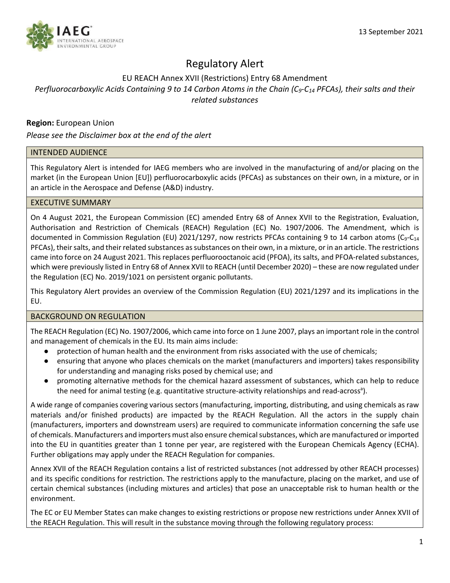# Regulatory Alert

# EU REACH Annex XVII (Restrictions) Entry 68 Amendment *Perfluorocarboxylic Acids Containing 9 to 14 Carbon Atoms in the Chain (C<sub>9</sub>-C<sub>14</sub> PFCAs), their salts and their related substances*

# **Region:** European Union

*Please see the Disclaimer box at the end of the alert*

## INTENDED AUDIENCE

This Regulatory Alert is intended for IAEG members who are involved in the manufacturing of and/or placing on the market (in the European Union [EU]) perfluorocarboxylic acids (PFCAs) as substances on their own, in a mixture, or in an article in the Aerospace and Defense (A&D) industry.

## EXECUTIVE SUMMARY

On 4 August 2021, the European Commission (EC) amended Entry 68 of Annex XVII to the Registration, Evaluation, Authorisation and Restriction of Chemicals (REACH) Regulation (EC) No. 1907/2006. The Amendment, which is documented in Commission Regulation (EU) 2021/1297, now restricts PFCAs containing 9 to 14 carbon atoms ( $C_9$ - $C_{14}$ PFCAs), their salts, and their related substances as substances on their own, in a mixture, or in an article. The restrictions came into force on 24 August 2021. This replaces perfluorooctanoic acid (PFOA), its salts, and PFOA-related substances, which were previously listed in Entry 68 of Annex XVII to REACH (until December 2020) – these are now regulated under the Regulation (EC) No. 2019/1021 on persistent organic pollutants.

This Regulatory Alert provides an overview of the Commission Regulation (EU) 2021/1297 and its implications in the EU.

### BACKGROUND ON REGULATION

The REACH Regulation (EC) No. 1907/2006, which came into force on 1 June 2007, plays an important role in the control and management of chemicals in the EU. Its main aims include:

- protection of human health and the environment from risks associated with the use of chemicals;
- ensuring that anyone who places chemicals on the market (manufacturers and importers) takes responsibility for understanding and managing risks posed by chemical use; and
- promoting alternative methods for the chemical hazard assessment of substances, which can help to reduce the need for animal testing (e.g. quantitative structure-activity relationships and read-across<sup>a</sup>).

A wide range of companies covering various sectors (manufacturing, importing, distributing, and using chemicals as raw materials and/or finished products) are impacted by the REACH Regulation. All the actors in the supply chain (manufacturers, importers and downstream users) are required to communicate information concerning the safe use of chemicals. Manufacturers and importers must also ensure chemical substances, which are manufactured or imported into the EU in quantities greater than 1 tonne per year, are registered with the European Chemicals Agency (ECHA). Further obligations may apply under the REACH Regulation for companies.

Annex XVII of the REACH Regulation contains a list of restricted substances (not addressed by other REACH processes) and its specific conditions for restriction. The restrictions apply to the manufacture, placing on the market, and use of certain chemical substances (including mixtures and articles) that pose an unacceptable risk to human health or the environment.

The EC or EU Member States can make changes to existing restrictions or propose new restrictions under Annex XVII of the REACH Regulation. This will result in the substance moving through the following regulatory process: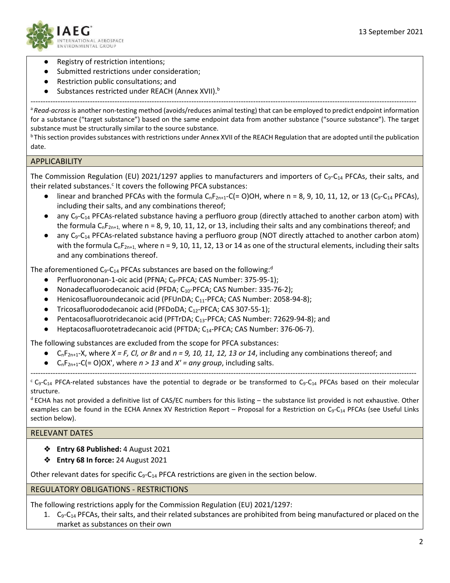

- Registry of restriction intentions;
- Submitted restrictions under consideration;
- Restriction public consultations; and
- Substances restricted under REACH (Annex XVII).<sup>b</sup>

----------------------------------------------------------------------------------------------------------------------------------------------------------- <sup>a</sup>*Read-across* is another non-testing method (avoids/reduces animal testing) that can be employed to predict endpoint information for a substance ("target substance") based on the same endpoint data from another substance ("source substance"). The target substance must be structurally similar to the source substance.

<sup>b</sup> This section provides substances with restrictions under Annex XVII of the REACH Regulation that are adopted until the publication date.

## **APPLICABILITY**

The Commission Regulation (EU) 2021/1297 applies to manufacturers and importers of C<sub>9</sub>-C<sub>14</sub> PFCAs, their salts, and their related substances.<sup>c</sup> It covers the following PFCA substances:

- linear and branched PFCAs with the formula  $C_nF_{2n+1}-C(= 0)$ OH, where n = 8, 9, 10, 11, 12, or 13 (C<sub>9</sub>-C<sub>14</sub> PFCAs), including their salts, and any combinations thereof;
- $\bullet$  any C<sub>9</sub>-C<sub>14</sub> PFCAs-related substance having a perfluoro group (directly attached to another carbon atom) with the formula  $C_nF_{2n+1}$ , where n = 8, 9, 10, 11, 12, or 13, including their salts and any combinations thereof; and
- $\bullet$  any C<sub>9</sub>-C<sub>14</sub> PFCAs-related substance having a perfluoro group (NOT directly attached to another carbon atom) with the formula C<sub>n</sub>F<sub>2n+1</sub>, where n = 9, 10, 11, 12, 13 or 14 as one of the structural elements, including their salts and any combinations thereof.

The aforementioned  $C_9$ - $C_{14}$  PFCAs substances are based on the following:<sup>d</sup>

- Perfluorononan-1-oic acid (PFNA; C<sub>9</sub>-PFCA; CAS Number: 375-95-1);
- Nonadecafluorodecanoic acid (PFDA; C<sub>10</sub>-PFCA; CAS Number: 335-76-2);
- Henicosafluoroundecanoic acid (PFUnDA; C<sub>11</sub>-PFCA; CAS Number: 2058-94-8);
- Tricosafluorododecanoic acid (PFDoDA; C<sub>12</sub>-PFCA; CAS 307-55-1);
- Pentacosafluorotridecanoic acid (PFTrDA; C13-PFCA; CAS Number: 72629-94-8); and
- Heptacosafluorotetradecanoic acid (PFTDA; C<sub>14</sub>-PFCA; CAS Number: 376-06-7).

The following substances are excluded from the scope for PFCA substances:

- $\bullet$  C<sub>n</sub>F<sub>2n+1</sub>-X, where *X = F, Cl, or Br* and  $n = 9$ , 10, 11, 12, 13 or 14, including any combinations thereof; and
- $C_nF_{2n+1}-C (= O)OX'$ , where  $n > 13$  and  $X' = any group$ , including salts.

-----------------------------------------------------------------------------------------------------------------------------------------------------------  $c_{\text{G}-C_{14}}$  PFCA-related substances have the potential to degrade or be transformed to C<sub>9</sub>-C<sub>14</sub> PFCAs based on their molecular structure.

d ECHA has not provided a definitive list of CAS/EC numbers for this listing – the substance list provided is not exhaustive. Other examples can be found in the ECHA Annex XV Restriction Report – Proposal for a Restriction on  $C_9-C_{14}$  PFCAs (see Useful Links section below).

# RELEVANT DATES

- ❖ **Entry 68 Published:** 4 August 2021
- ❖ **Entry 68 In force:** 24 August 2021

Other relevant dates for specific  $C_9$ - $C_{14}$  PFCA restrictions are given in the section below.

### REGULATORY OBLIGATIONS - RESTRICTIONS

The following restrictions apply for the Commission Regulation (EU) 2021/1297:

1.  $C_9-C_{14}$  PFCAs, their salts, and their related substances are prohibited from being manufactured or placed on the market as substances on their own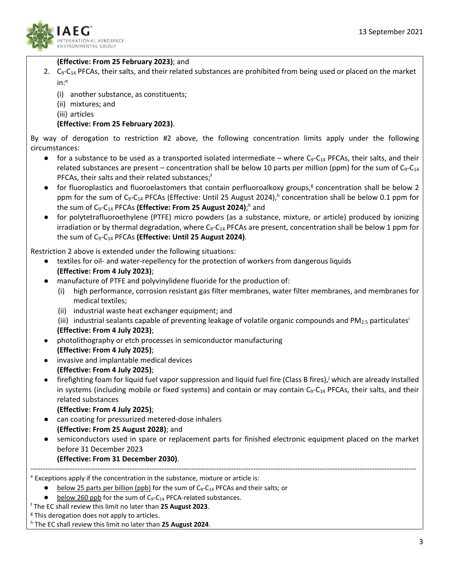

# **(Effective: From 25 February 2023)**; and

- 2.  $C_9-C_{14}$  PFCAs, their salts, and their related substances are prohibited from being used or placed on the market  $in:$ <sup>e</sup>
	- (i) another substance, as constituents;
	- (ii) mixtures; and
	- (iii) articles

# **(Effective: From 25 February 2023)**.

By way of derogation to restriction #2 above, the following concentration limits apply under the following circumstances:

- for a substance to be used as a transported isolated intermediate where  $C_9$ - $C_{14}$  PFCAs, their salts, and their related substances are present – concentration shall be below 10 parts per million (ppm) for the sum of  $C_9 - C_{14}$ PFCAs, their salts and their related substances;<sup>f</sup>
- for fluoroplastics and fluoroelastomers that contain perfluoroalkoxy groups,<sup>g</sup> concentration shall be below 2 ppm for the sum of  $C_9-C_{14}$  PFCAs (Effective: Until 25 August 2024),<sup>h</sup> concentration shall be below 0.1 ppm for the sum of C<sub>9</sub>-C<sub>14</sub> PFCAs (Effective: From 25 August 2024);<sup>h</sup> and
- for polytetrafluoroethylene (PTFE) micro powders (as a substance, mixture, or article) produced by ionizing irradiation or by thermal degradation, where  $C_9 - C_{14}$  PFCAs are present, concentration shall be below 1 ppm for the sum of C9-C14 PFCAs **(Effective: Until 25 August 2024)**.

Restriction 2 above is extended under the following situations:

- textiles for oil- and water-repellency for the protection of workers from dangerous liquids **(Effective: From 4 July 2023)**;
- manufacture of PTFE and polyvinylidene fluoride for the production of:
	- (i) high performance, corrosion resistant gas filter membranes, water filter membranes, and membranes for medical textiles;
	- (ii) industrial waste heat exchanger equipment; and
	- (iii) industrial sealants capable of preventing leakage of volatile organic compounds and PM<sub>2.5</sub> particulates<sup>i</sup> **(Effective: From 4 July 2023)**;
- photolithography or etch processes in semiconductor manufacturing
- **(Effective: From 4 July 2025)**; ● invasive and implantable medical devices
	- **(Effective: From 4 July 2025)**;
- $\bullet$  firefighting foam for liquid fuel vapor suppression and liquid fuel fire (Class B fires), which are already installed in systems (including mobile or fixed systems) and contain or may contain  $C_9-C_{14}$  PFCAs, their salts, and their related substances

### **(Effective: From 4 July 2025)**;

- can coating for pressurized metered-dose inhalers **(Effective: From 25 August 2028)**; and
- semiconductors used in spare or replacement parts for finished electronic equipment placed on the market before 31 December 2023

------------------------------------------------------------------------------------------------------------------------------------------------------------

# **(Effective: From 31 December 2030)**.

<sup>e</sup> Exceptions apply if the concentration in the substance, mixture or article is:

- below 25 parts per billion (ppb) for the sum of  $C_9-C_{14}$  PFCAs and their salts; or
- below 260 ppb for the sum of  $C_9$ - $C_{14}$  PFCA-related substances.
- <sup>f</sup> The EC shall review this limit no later than **25 August 2023**.

<sup>g</sup> This derogation does not apply to articles.

<sup>h</sup> The EC shall review this limit no later than **25 August 2024**.